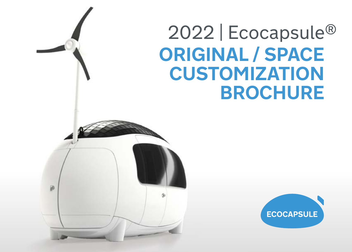## 2022 | Ecocapsule® **ORIGINAL / SPACE CUSTOMIZATION BROCHURE**

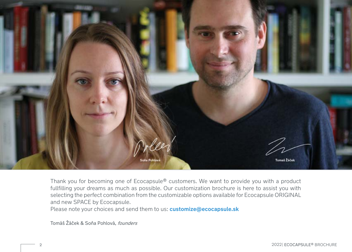

Thank you for becoming one of Ecocapsule® customers. We want to provide you with a product fullfilling your dreams as much as possible. Our customization brochure is here to assist you with selecting the perfect combination from the customizable options available for Ecocapsule ORIGINAL and new SPACE by Ecocapsule.

Please note your choices and send them to us: **[customize@ecocapsule.sk](mailto:customize%40ecocapsule.sk%20?subject=)**

Tomáš Žáček & Soňa Pohlová, founders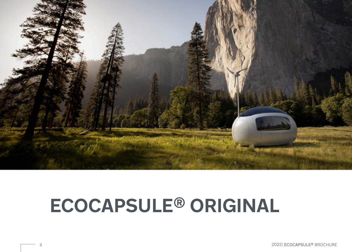

# **ECOCAPSULE® ORIGINAL**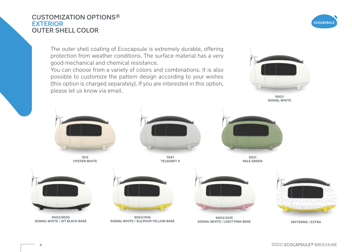### CUSTOMIZATION OPTIONS® EXTERIOR OUTER SHELL COLOR

The outer shell coating of Ecocapsule is extremely durable, offering protection from weather conditions. The surface material has a very good mechanical and chemical resistance.

You can choose from a variety of colors and combinations. It is also possible to customize the pattern design according to your wishes (this option is charged separately). If you are interested in this option, please let us know via email.



**9003 SIGNAL WHITE**



**1013 OYSTER WHITE**



**7047 TELEGREY 4**



**6021 PALE GREEN**



**9003/9005 SIGNAL WHITE / JET BLACK BASE** 



**9003/1016 SIGNAL WHITE / SULPHUR YELLOW BASE**



**9003/3015 SIGNAL WHITE / LIGHT PINK BASE PATTERNS / EXTRA** 



**ECOCAPSULI**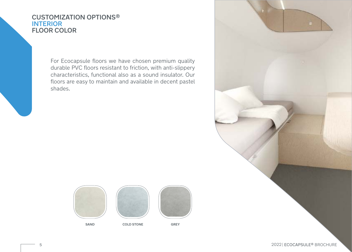### CUSTOMIZATION OPTIONS® **INTERIOR** FLOOR COLOR

For Ecocapsule floors we have chosen premium quality durable PVC floors resistant to friction, with anti-slippery characteristics, functional also as a sound insulator. Our floors are easy to maintain and available in decent pastel shades.



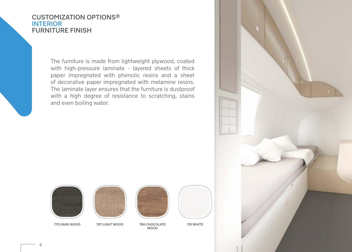### CUSTOMIZATION OPTIONS® **INTERIOR** FURNITURE FINISH

The furniture is made from lightweight plywood, coated with high-pressure laminate - layered sheets of thick paper impregnated with phenolic resins and a sheet of decorative paper impregnated with melamine resins. The laminate layer ensures that the furniture is dustproof with a high degree of resistance to scratching, stains and even boiling water.







**786 CHOCOLATE WOOD 775 DARK WOOD 787 LIGHT WOOD 751 WHITE**



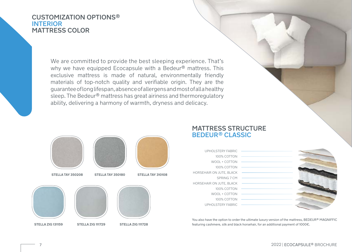### CUSTOMIZATION OPTIONS® **INTERIOR** MATTRESS COLOR

We are committed to provide the best sleeping experience. That's why we have equipped Ecocapsule with a Bedeur<sup>®</sup> mattress. This exclusive mattress is made of natural, environmentally friendly materials of top-notch quality and verifiable origin. They are the guarantee oflong lifespan, absence of allergens and most of all a healthy sleep. The Bedeur® mattress has great airiness and thermoregulatory ability, delivering a harmony of warmth, dryness and delicacy.



### MATTRESS STRUCTURE BEDEUR<sup>®</sup> CLASSIC

 UPHOLSTERY FABRIC 100% COTTON WOOL + COTTON 100% COTTON HORSEHAIR ON JUTE, BLACK SPRING 7 CM HORSEHAIR ON JUTE, BLACK 100% COTTON WOOL + COTTON 100% COTTON UPHOLSTERY FABRIC



You also have the option to order the ultimate luxury version of the mattress, BEDEUR® MAGNIFFIC featuring cashmere, silk and black horsehair, for an additional payment of 1000€.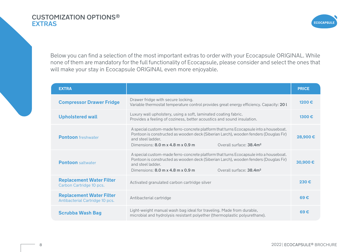### CUSTOMIZATION OPTIONS® EXTRAS



Below you can find a selection of the most important extras to order with your Ecocapsule ORIGINAL. While none of them are mandatory for the full functionality of Ecocapsule, please consider and select the ones that will make your stay in Ecocapsule ORIGINAL even more enjoyable.

| <b>EXTRA</b>                                                       |                                                                                                                                                                                                                                                                                                                    | <b>PRICE</b> |
|--------------------------------------------------------------------|--------------------------------------------------------------------------------------------------------------------------------------------------------------------------------------------------------------------------------------------------------------------------------------------------------------------|--------------|
| <b>Compressor Drawer Fridge</b>                                    | Drawer fridge with secure locking.<br>Variable thermostat temperature control provides great energy efficiency. Capacity: 201                                                                                                                                                                                      | 1200€        |
| <b>Upholstered wall</b>                                            | Luxury wall upholstery, using a soft, laminated coating fabric.<br>Provides a feeling of coziness, better acoustics and sound insulation.                                                                                                                                                                          | 1300€        |
| <b>Pontoon</b> freshwater                                          | A special custom-made ferro-concrete platform that turns Ecocapsule into a houseboat.<br>Pontoon is constructed as wooden deck (Siberian Larch), wooden fenders (Douglas Fir)<br>and steel ladder.<br>Dimensions: $8.0 \text{ m} \times 4.8 \text{ m} \times 0.9 \text{ m}$<br>Overall surface: 38.4m <sup>2</sup> | 28,900€      |
| <b>Pontoon</b> saltwater                                           | A special custom-made ferro-concrete platform that turns Ecocapsule into a houseboat.<br>Pontoon is constructed as wooden deck (Siberian Larch), wooden fenders (Douglas Fir)<br>and steel ladder.<br>Dimensions: $8.0 \text{ m} \times 4.8 \text{ m} \times 0.9 \text{ m}$<br>Overall surface: 38.4m <sup>2</sup> | 30,900€      |
| <b>Replacement Water Filter</b><br>Carbon Cartridge 10 pcs.        | Activated granulated carbon cartridge silver                                                                                                                                                                                                                                                                       | 230€         |
| <b>Replacement Water Filter</b><br>Antibacterial Cartridge 10 pcs. | Antibacterial cartridge                                                                                                                                                                                                                                                                                            | 69€          |
| <b>Scrubba Wash Bag</b>                                            | Light-weight manual wash bag ideal for traveling. Made from durable,<br>microbial and hydrolysis resistant polyether (thermoplastic polyurethane).                                                                                                                                                                 | 69E          |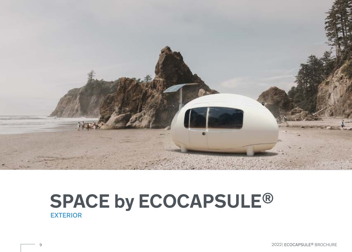

### **SPACE by ECOCAPSULE®** EXTERIOR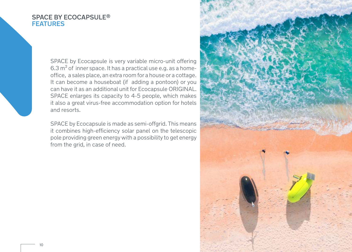#### SPACE BY ECOCAPSULE® **FEATURES**

SPACE by Ecocapsule is very variable micro-unit offering  $6.3 \text{ m}^2$  of inner space. It has a practical use e.g. as a homeoffice, a sales place, an extra room for a house or a cottage. It can become a houseboat (if adding a pontoon) or you can have it as an additional unit for Ecocapsule ORIGINAL. SPACE enlarges its capacity to 4-5 people, which makes it also a great virus-free accommodation option for hotels and resorts.

SPACE by Ecocapsule is made as semi-offgrid. This means it combines high-efficiency solar panel on the telescopic pole providing green energy with a possibility to get energy from the grid, in case of need.

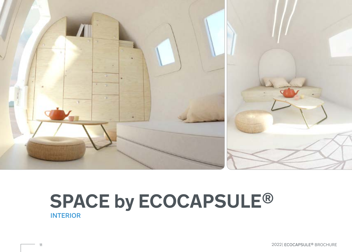

### **SPACE by ECOCAPSULE®** INTERIOR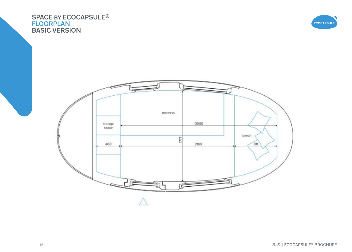### SPACE BY ECOCAPSULE<sup>®</sup> FLOORPLAN BASIC VERSION



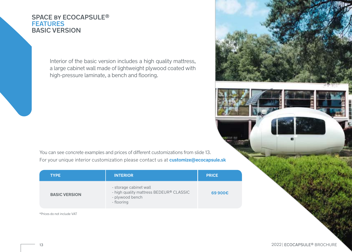### SPACE by ECOCAPSULE® **FEATURES** BASIC VERSION

Interior of the basic version includes a high quality mattress, a large cabinet wall made of lightweight plywood coated with high-pressure laminate, a bench and flooring.

You can see concrete examples and prices of different customizations from slide 13. For your unique interior customization please contact us at **customize@ecocapsule.sk**

| <b>TYPE</b>          | <b>INTERIOR</b>                                                                                    | <b>PRICE</b> |
|----------------------|----------------------------------------------------------------------------------------------------|--------------|
| <b>BASIC VERSION</b> | - storage cabinet wall<br>- high quality mattress BEDEUR® CLASSIC<br>- plywood bench<br>- flooring | 69 900€      |

\*Prices do not include VAT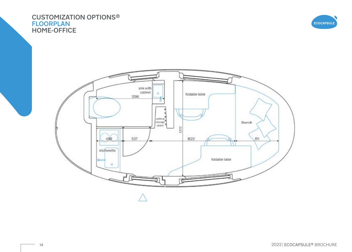### CUSTOMIZATION OPTIONS® FLOORPLAN HOME-OFFICE



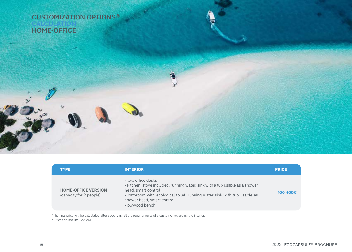CUSTOMIZATION OPTIONS® CALCULATION HOME-OFFICE

| <b>TYPE</b>                                           | <b>INTERIOR</b>                                                                                                                                                                                                                                        | <b>PRICE</b> |
|-------------------------------------------------------|--------------------------------------------------------------------------------------------------------------------------------------------------------------------------------------------------------------------------------------------------------|--------------|
| <b>HOME-OFFICE VERSION</b><br>(capacity for 2 people) | - two office desks<br>- kitchen, stove included, running water, sink with a tub usable as a shower<br>head, smart control<br>- bathroom with ecological toilet, running water sink with tub usable as<br>shower head, smart control<br>- plywood bench | 100 400€     |

\*The final price will be calculated after specifying all the requirements of a customer regarding the interior. \*\*Prices do not include VAT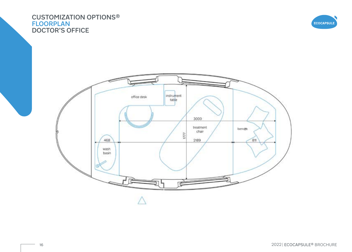### CUSTOMIZATION OPTIONS® FLOORPLAN DOCTOR'S OFFICE



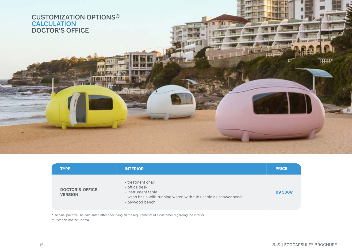CUSTOMIZATION OPTIONS® CALCULATION DOCTOR'S OFFICE

| <b>TYPE</b>                              | <b>INTERIOR</b>                                                                                                                                | <b>PRICE</b> |
|------------------------------------------|------------------------------------------------------------------------------------------------------------------------------------------------|--------------|
| <b>DOCTOR'S OFFICE</b><br><b>VERSION</b> | - treatment chair<br>- office desk<br>- instrument table<br>- wash basin with running water, with tub usable as shower head<br>- plywood bench | 99 500€      |

 $-11$ 

\*\*Prices do not include VAT \*The final price will be calculated after specifying all the requirements of a customer regarding the interior. मम